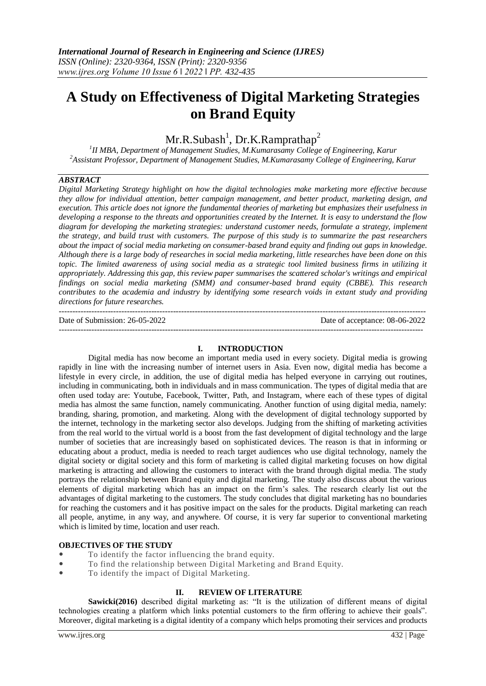# **A Study on Effectiveness of Digital Marketing Strategies on Brand Equity**

 $Mr.R.Subash<sup>1</sup>, Dr.K.Ramprathap<sup>2</sup>$ 

*1 II MBA, Department of Management Studies, M.Kumarasamy College of Engineering, Karur <sup>2</sup>Assistant Professor, Department of Management Studies, M.Kumarasamy College of Engineering, Karur*

# *ABSTRACT*

*Digital Marketing Strategy highlight on how the digital technologies make marketing more effective because they allow for individual attention, better campaign management, and better product, marketing design, and execution. This article does not ignore the fundamental theories of marketing but emphasizes their usefulness in developing a response to the threats and opportunities created by the Internet. It is easy to understand the flow diagram for developing the marketing strategies: understand customer needs, formulate a strategy, implement the strategy, and build trust with customers. The purpose of this study is to summarize the past researchers about the impact of social media marketing on consumer-based brand equity and finding out gaps in knowledge. Although there is a large body of researches in social media marketing, little researches have been done on this topic. The limited awareness of using social media as a strategic tool limited business firms in utilizing it appropriately. Addressing this gap, this review paper summarises the scattered scholar's writings and empirical findings on social media marketing (SMM) and consumer-based brand equity (CBBE). This research contributes to the academia and industry by identifying some research voids in extant study and providing directions for future researches.*

--------------------------------------------------------------------------------------------------------------------------------------- Date of Submission: 26-05-2022 Date of acceptance: 08-06-2022 --------------------------------------------------------------------------------------------------------------------------------------

# **I. INTRODUCTION**

Digital media has now become an important media used in every society. Digital media is growing rapidly in line with the increasing number of internet users in Asia. Even now, digital media has become a lifestyle in every circle, in addition, the use of digital media has helped everyone in carrying out routines, including in communicating, both in individuals and in mass communication. The types of digital media that are often used today are: Youtube, Facebook, Twitter, Path, and Instagram, where each of these types of digital media has almost the same function, namely communicating. Another function of using digital media, namely: branding, sharing, promotion, and marketing. Along with the development of digital technology supported by the internet, technology in the marketing sector also develops. Judging from the shifting of marketing activities from the real world to the virtual world is a boost from the fast development of digital technology and the large number of societies that are increasingly based on sophisticated devices. The reason is that in informing or educating about a product, media is needed to reach target audiences who use digital technology, namely the digital society or digital society and this form of marketing is called digital marketing focuses on how digital marketing is attracting and allowing the customers to interact with the brand through digital media. The study portrays the relationship between Brand equity and digital marketing. The study also discuss about the various elements of digital marketing which has an impact on the firm's sales. The research clearly list out the advantages of digital marketing to the customers. The study concludes that digital marketing has no boundaries for reaching the customers and it has positive impact on the sales for the products. Digital marketing can reach all people, anytime, in any way, and anywhere. Of course, it is very far superior to conventional marketing which is limited by time, location and user reach.

# **OBJECTIVES OF THE STUDY**

- To identify the factor influencing the brand equity.
- To find the relationship between Digital Marketing and Brand Equity.
- To identify the impact of Digital Marketing.

# **II. REVIEW OF LITERATURE**

**Sawicki(2016)** described digital marketing as: "It is the utilization of different means of digital technologies creating a platform which links potential customers to the firm offering to achieve their goals". Moreover, digital marketing is a digital identity of a company which helps promoting their services and products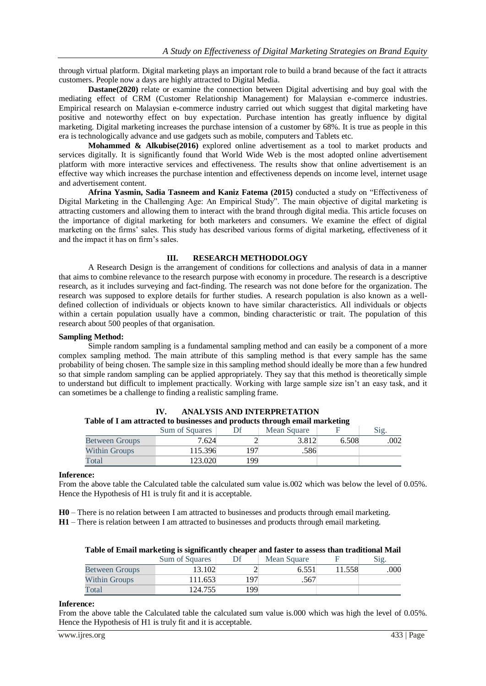through virtual platform. Digital marketing plays an important role to build a brand because of the fact it attracts customers. People now a days are highly attracted to Digital Media.

**Dastane(2020)** relate or examine the connection between Digital advertising and buy goal with the mediating effect of CRM (Customer Relationship Management) for Malaysian e-commerce industries. Empirical research on Malaysian e-commerce industry carried out which suggest that digital marketing have positive and noteworthy effect on buy expectation. Purchase intention has greatly influence by digital marketing. Digital marketing increases the purchase intension of a customer by 68%. It is true as people in this era is technologically advance and use gadgets such as mobile, computers and Tablets etc.

**Mohammed & Alkubise(2016)** explored online advertisement as a tool to market products and services digitally. It is significantly found that World Wide Web is the most adopted online advertisement platform with more interactive services and effectiveness. The results show that online advertisement is an effective way which increases the purchase intention and effectiveness depends on income level, internet usage and advertisement content.

**Afrina Yasmin, Sadia Tasneem and Kaniz Fatema (2015)** conducted a study on "Effectiveness of Digital Marketing in the Challenging Age: An Empirical Study". The main objective of digital marketing is attracting customers and allowing them to interact with the brand through digital media. This article focuses on the importance of digital marketing for both marketers and consumers. We examine the effect of digital marketing on the firms' sales. This study has described various forms of digital marketing, effectiveness of it and the impact it has on firm's sales.

# **III. RESEARCH METHODOLOGY**

A Research Design is the arrangement of conditions for collections and analysis of data in a manner that aims to combine relevance to the research purpose with economy in procedure. The research is a descriptive research, as it includes surveying and fact-finding. The research was not done before for the organization. The research was supposed to explore details for further studies. A research population is also known as a welldefined collection of individuals or objects known to have similar characteristics. All individuals or objects within a certain population usually have a common, binding characteristic or trait. The population of this research about 500 peoples of that organisation.

#### **Sampling Method:**

Simple random sampling is a fundamental sampling method and can easily be a component of a more complex sampling method. The main attribute of this sampling method is that every sample has the same probability of being chosen. The sample size in this sampling method should ideally be more than a few hundred so that simple random sampling can be applied appropriately. They say that this method is theoretically simple to understand but difficult to implement practically. Working with large sample size isn't an easy task, and it can sometimes be a challenge to finding a realistic sampling frame.

| A WALAY YA A WAAA WYYA WYYY W YY ALWAANDAYD WAA'U MA Y WWYYD YAAA Y WEAA YAANTAA AANTA AA'U WAALE |                       |           |             |       |     |  |  |
|---------------------------------------------------------------------------------------------------|-----------------------|-----------|-------------|-------|-----|--|--|
|                                                                                                   | <b>Sum of Squares</b> |           | Mean Square |       |     |  |  |
| <b>Between Groups</b>                                                                             | 7.624                 |           | 3.812       | 6.508 | 002 |  |  |
| <b>Within Groups</b>                                                                              | 115.396               | <b>97</b> | .586        |       |     |  |  |
| Total                                                                                             | 123.020               | 199       |             |       |     |  |  |

**IV. ANALYSIS AND INTERPRETATION Table of I am attracted to businesses and products through email marketing** 

#### **Inference:**

From the above table the Calculated table the calculated sum value is.002 which was below the level of 0.05%. Hence the Hypothesis of H1 is truly fit and it is acceptable.

**H0** – There is no relation between I am attracted to businesses and products through email marketing.

**H1** – There is relation between I am attracted to businesses and products through email marketing.

|                       | Sum of Squares |     | Mean Square |        |      |
|-----------------------|----------------|-----|-------------|--------|------|
| <b>Between Groups</b> | 13.102         |     | 6.551       | 11.558 | .000 |
| <b>Within Groups</b>  | 111.653        | 197 | .567        |        |      |
| Total                 | 124.755        | 199 |             |        |      |

|  |  |  |  |  |  |  | Table of Email marketing is significantly cheaper and faster to assess than traditional Mail |
|--|--|--|--|--|--|--|----------------------------------------------------------------------------------------------|
|--|--|--|--|--|--|--|----------------------------------------------------------------------------------------------|

#### **Inference:**

From the above table the Calculated table the calculated sum value is.000 which was high the level of 0.05%. Hence the Hypothesis of H1 is truly fit and it is acceptable.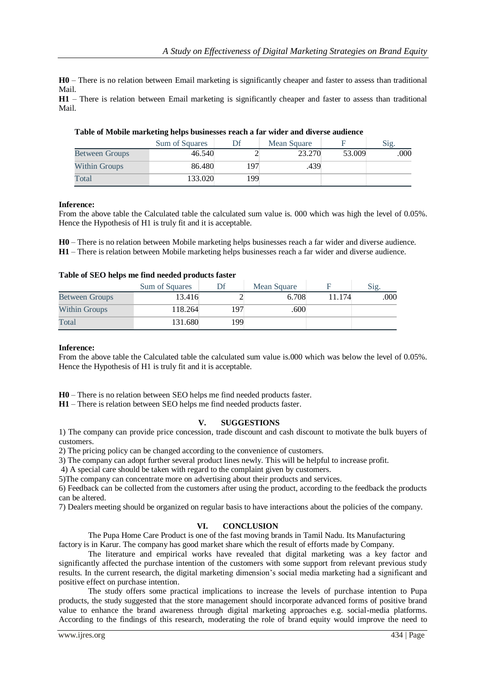**H0** – There is no relation between Email marketing is significantly cheaper and faster to assess than traditional Mail.

**H1** – There is relation between Email marketing is significantly cheaper and faster to assess than traditional Mail.

|                       | Sum of Squares |     | Mean Square |        | Sig. |
|-----------------------|----------------|-----|-------------|--------|------|
| <b>Between Groups</b> | 46.540         |     | 23.270      | 53.009 | .000 |
| Within Groups         | 86.480         | 197 | .439        |        |      |
| Total                 | 133.020        | 199 |             |        |      |

# **Table of Mobile marketing helps businesses reach a far wider and diverse audience**

# **Inference:**

From the above table the Calculated table the calculated sum value is. 000 which was high the level of 0.05%. Hence the Hypothesis of H1 is truly fit and it is acceptable.

**H0** – There is no relation between Mobile marketing helps businesses reach a far wider and diverse audience. **H1** – There is relation between Mobile marketing helps businesses reach a far wider and diverse audience.

# **Table of SEO helps me find needed products faster**

|                       | Sum of Squares |     | Mean Square |        | $\mathrm{Mg}.$ |
|-----------------------|----------------|-----|-------------|--------|----------------|
| <b>Between Groups</b> | 13.416         |     | 6.708       | 11.174 | .000           |
| Within Groups         | 118.264        | 197 | .600        |        |                |
| Total                 | 131.680        | 199 |             |        |                |

# **Inference:**

From the above table the Calculated table the calculated sum value is.000 which was below the level of 0.05%. Hence the Hypothesis of H1 is truly fit and it is acceptable.

**H0** – There is no relation between SEO helps me find needed products faster.

**H1** – There is relation between SEO helps me find needed products faster.

# **V. SUGGESTIONS**

1) The company can provide price concession, trade discount and cash discount to motivate the bulk buyers of customers.

2) The pricing policy can be changed according to the convenience of customers.

3) The company can adopt further several product lines newly. This will be helpful to increase profit.

4) A special care should be taken with regard to the complaint given by customers.

5)The company can concentrate more on advertising about their products and services.

6) Feedback can be collected from the customers after using the product, according to the feedback the products can be altered.

7) Dealers meeting should be organized on regular basis to have interactions about the policies of the company.

# **VI. CONCLUSION**

The Pupa Home Care Product is one of the fast moving brands in Tamil Nadu. Its Manufacturing factory is in Karur. The company has good market share which the result of efforts made by Company.

The literature and empirical works have revealed that digital marketing was a key factor and significantly affected the purchase intention of the customers with some support from relevant previous study results. In the current research, the digital marketing dimension's social media marketing had a significant and positive effect on purchase intention.

The study offers some practical implications to increase the levels of purchase intention to Pupa products, the study suggested that the store management should incorporate advanced forms of positive brand value to enhance the brand awareness through digital marketing approaches e.g. social-media platforms. According to the findings of this research, moderating the role of brand equity would improve the need to